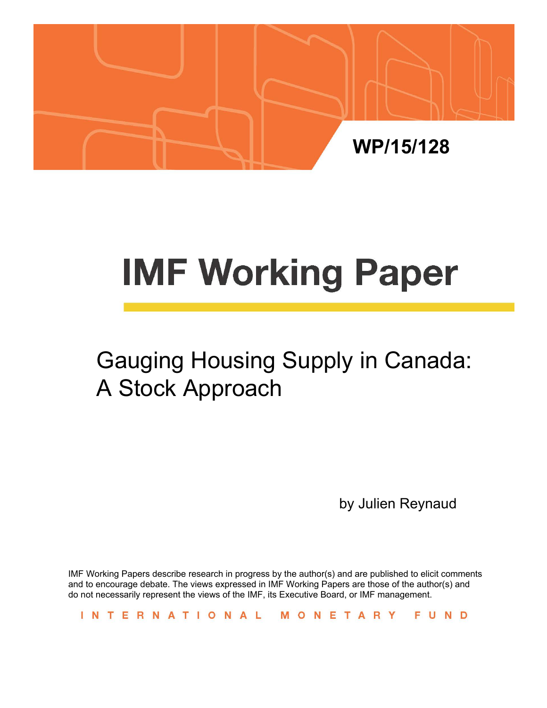

# **IMF Working Paper**

# Gauging Housing Supply in Canada: A Stock Approach

by Julien Reynaud

IMF Working Papers describe research in progress by the author(s) and are published to elicit comments and to encourage debate. The views expressed in IMF Working Papers are those of the author(s) and do not necessarily represent the views of the IMF, its Executive Board, or IMF management.

INTERNATIONAL MONETARY FUND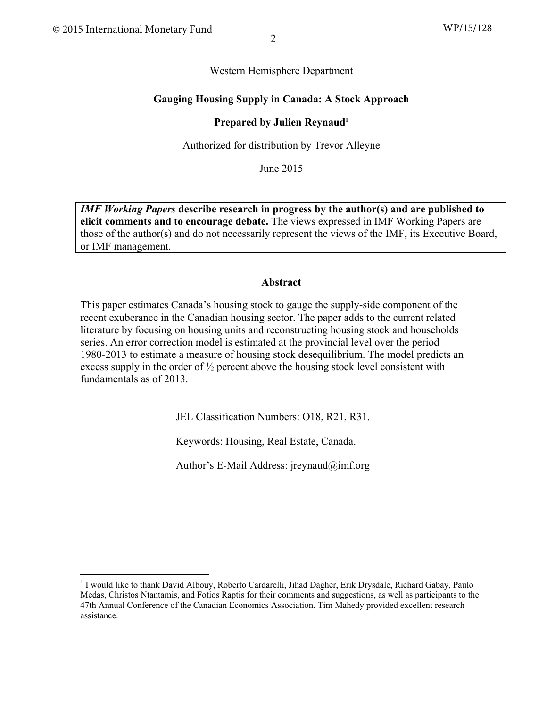#### Western Hemisphere Department

#### **Gauging Housing Supply in Canada: A Stock Approach**

#### **Prepared by Julien Reynaud**<sup>1</sup>

Authorized for distribution by Trevor Alleyne

June 2015

*IMF Working Papers* **describe research in progress by the author(s) and are published to elicit comments and to encourage debate.** The views expressed in IMF Working Papers are those of the author(s) and do not necessarily represent the views of the IMF, its Executive Board, or IMF management.

#### **Abstract**

This paper estimates Canada's housing stock to gauge the supply-side component of the recent exuberance in the Canadian housing sector. The paper adds to the current related literature by focusing on housing units and reconstructing housing stock and households series. An error correction model is estimated at the provincial level over the period 1980-2013 to estimate a measure of housing stock desequilibrium. The model predicts an excess supply in the order of  $\frac{1}{2}$  percent above the housing stock level consistent with fundamentals as of 2013.

JEL Classification Numbers: O18, R21, R31.

Keywords: Housing, Real Estate, Canada.

Author's E-Mail Address: jreynaud@imf.org

<sup>&</sup>lt;sup>1</sup> I would like to thank David Albouy, Roberto Cardarelli, Jihad Dagher, Erik Drysdale, Richard Gabay, Paulo Medas, Christos Ntantamis, and Fotios Raptis for their comments and suggestions, as well as participants to the 47th Annual Conference of the Canadian Economics Association. Tim Mahedy provided excellent research assistance.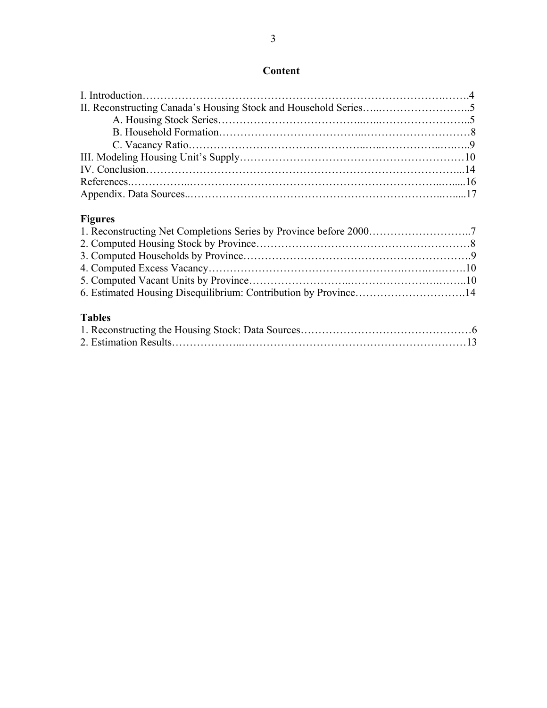### **Content**

# **Figures**

| <b>Tables</b><br>Tables $\mathcal{L}$ and $\mathcal{L}$ and $\mathcal{L}$ and $\mathcal{L}$ and $\mathcal{L}$ and $\mathcal{L}$ and $\mathcal{L}$ and $\mathcal{L}$ and $\mathcal{L}$ and $\mathcal{L}$ and $\mathcal{L}$ and $\mathcal{L}$ and $\mathcal{L}$ and $\mathcal{L}$ and $\mathcal{L}$ and $\mathcal{L}$ and $\mathcal{L$ |  |
|--------------------------------------------------------------------------------------------------------------------------------------------------------------------------------------------------------------------------------------------------------------------------------------------------------------------------------------|--|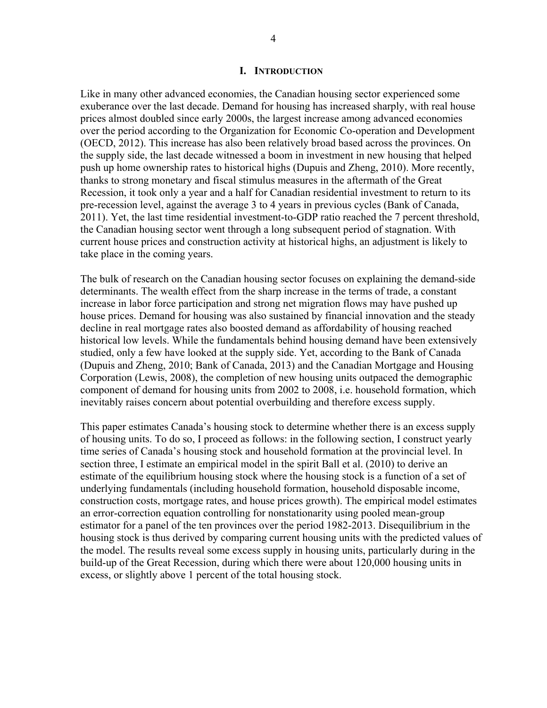#### **I. INTRODUCTION**

Like in many other advanced economies, the Canadian housing sector experienced some exuberance over the last decade. Demand for housing has increased sharply, with real house prices almost doubled since early 2000s, the largest increase among advanced economies over the period according to the Organization for Economic Co-operation and Development (OECD, 2012). This increase has also been relatively broad based across the provinces. On the supply side, the last decade witnessed a boom in investment in new housing that helped push up home ownership rates to historical highs (Dupuis and Zheng, 2010). More recently, thanks to strong monetary and fiscal stimulus measures in the aftermath of the Great Recession, it took only a year and a half for Canadian residential investment to return to its pre-recession level, against the average 3 to 4 years in previous cycles (Bank of Canada, 2011). Yet, the last time residential investment-to-GDP ratio reached the 7 percent threshold, the Canadian housing sector went through a long subsequent period of stagnation. With current house prices and construction activity at historical highs, an adjustment is likely to take place in the coming years.

The bulk of research on the Canadian housing sector focuses on explaining the demand-side determinants. The wealth effect from the sharp increase in the terms of trade, a constant increase in labor force participation and strong net migration flows may have pushed up house prices. Demand for housing was also sustained by financial innovation and the steady decline in real mortgage rates also boosted demand as affordability of housing reached historical low levels. While the fundamentals behind housing demand have been extensively studied, only a few have looked at the supply side. Yet, according to the Bank of Canada (Dupuis and Zheng, 2010; Bank of Canada, 2013) and the Canadian Mortgage and Housing Corporation (Lewis, 2008), the completion of new housing units outpaced the demographic component of demand for housing units from 2002 to 2008, i.e. household formation, which inevitably raises concern about potential overbuilding and therefore excess supply.

This paper estimates Canada's housing stock to determine whether there is an excess supply of housing units. To do so, I proceed as follows: in the following section, I construct yearly time series of Canada's housing stock and household formation at the provincial level. In section three, I estimate an empirical model in the spirit Ball et al. (2010) to derive an estimate of the equilibrium housing stock where the housing stock is a function of a set of underlying fundamentals (including household formation, household disposable income, construction costs, mortgage rates, and house prices growth). The empirical model estimates an error-correction equation controlling for nonstationarity using pooled mean-group estimator for a panel of the ten provinces over the period 1982-2013. Disequilibrium in the housing stock is thus derived by comparing current housing units with the predicted values of the model. The results reveal some excess supply in housing units, particularly during in the build-up of the Great Recession, during which there were about 120,000 housing units in excess, or slightly above 1 percent of the total housing stock.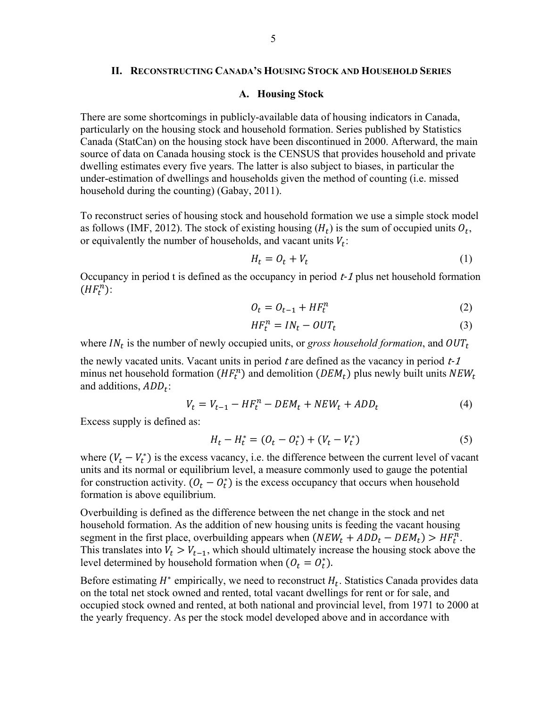#### **II. RECONSTRUCTING CANADA'S HOUSING STOCK AND HOUSEHOLD SERIES**

#### **A. Housing Stock**

There are some shortcomings in publicly-available data of housing indicators in Canada, particularly on the housing stock and household formation. Series published by Statistics Canada (StatCan) on the housing stock have been discontinued in 2000. Afterward, the main source of data on Canada housing stock is the CENSUS that provides household and private dwelling estimates every five years. The latter is also subject to biases, in particular the under-estimation of dwellings and households given the method of counting (i.e. missed household during the counting) (Gabay, 2011).

To reconstruct series of housing stock and household formation we use a simple stock model as follows (IMF, 2012). The stock of existing housing  $(H_t)$  is the sum of occupied units  $O_t$ , or equivalently the number of households, and vacant units  $V_t$ :

$$
H_t = O_t + V_t \tag{1}
$$

Occupancy in period t is defined as the occupancy in period  $t-1$  plus net household formation  $(HF_t^n)$ :

$$
O_t = O_{t-1} + HF_t^n \tag{2}
$$

$$
HF_t^n = IN_t - OUT_t \tag{3}
$$

where  $IN_t$  is the number of newly occupied units, or *gross household formation*, and  $OUT_t$ 

the newly vacated units. Vacant units in period t are defined as the vacancy in period  $t-1$ minus net household formation  $(HF_t^n)$  and demolition  $(DEM_t)$  plus newly built units  $NEW_t$ and additions,  $ADD_t$ :

$$
V_t = V_{t-1} - HF_t^n - DEM_t + NEW_t + ADD_t \tag{4}
$$

Excess supply is defined as:

$$
H_t - H_t^* = (O_t - O_t^*) + (V_t - V_t^*)
$$
\n(5)

where  $(V_t - V_t^*)$  is the excess vacancy, i.e. the difference between the current level of vacant units and its normal or equilibrium level, a measure commonly used to gauge the potential for construction activity.  $(O_t - O_t^*)$  is the excess occupancy that occurs when household formation is above equilibrium.

Overbuilding is defined as the difference between the net change in the stock and net household formation. As the addition of new housing units is feeding the vacant housing segment in the first place, overbuilding appears when  $(NEW_t + ADD_t - DEM_t) > HF_t^n$ . This translates into  $V_t > V_{t-1}$ , which should ultimately increase the housing stock above the level determined by household formation when  $(O_t = O_t^*)$ .

Before estimating  $H^*$  empirically, we need to reconstruct  $H_t$ . Statistics Canada provides data on the total net stock owned and rented, total vacant dwellings for rent or for sale, and occupied stock owned and rented, at both national and provincial level, from 1971 to 2000 at the yearly frequency. As per the stock model developed above and in accordance with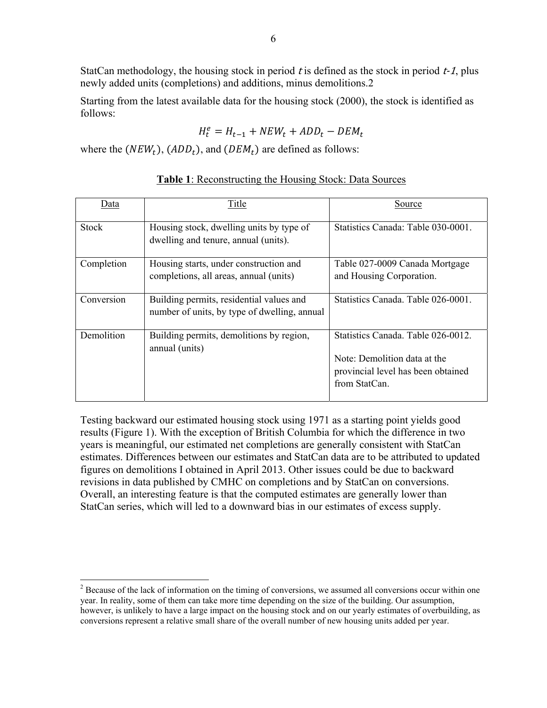StatCan methodology, the housing stock in period t is defined as the stock in period  $t-1$ , plus newly added units (completions) and additions, minus demolitions.2

Starting from the latest available data for the housing stock (2000), the stock is identified as follows:

$$
H_t^e = H_{t-1} + NEW_t + ADD_t - DEM_t
$$

where the  $(NEW_t)$ ,  $(ADD_t)$ , and  $(DEM_t)$  are defined as follows:

| Data         | Title                                                                                    | Source                                                                                                                   |
|--------------|------------------------------------------------------------------------------------------|--------------------------------------------------------------------------------------------------------------------------|
| <b>Stock</b> | Housing stock, dwelling units by type of<br>dwelling and tenure, annual (units).         | Statistics Canada: Table 030-0001.                                                                                       |
| Completion   | Housing starts, under construction and<br>completions, all areas, annual (units)         | Table 027-0009 Canada Mortgage<br>and Housing Corporation.                                                               |
| Conversion   | Building permits, residential values and<br>number of units, by type of dwelling, annual | Statistics Canada. Table 026-0001.                                                                                       |
| Demolition   | Building permits, demolitions by region,<br>annual (units)                               | Statistics Canada. Table 026-0012.<br>Note: Demolition data at the<br>provincial level has been obtained<br>from StatCan |

#### **Table 1**: Reconstructing the Housing Stock: Data Sources

Testing backward our estimated housing stock using 1971 as a starting point yields good results (Figure 1). With the exception of British Columbia for which the difference in two years is meaningful, our estimated net completions are generally consistent with StatCan estimates. Differences between our estimates and StatCan data are to be attributed to updated figures on demolitions I obtained in April 2013. Other issues could be due to backward revisions in data published by CMHC on completions and by StatCan on conversions. Overall, an interesting feature is that the computed estimates are generally lower than StatCan series, which will led to a downward bias in our estimates of excess supply.

 $\overline{a}$ 

 $2^{2}$  Because of the lack of information on the timing of conversions, we assumed all conversions occur within one year. In reality, some of them can take more time depending on the size of the building. Our assumption, however, is unlikely to have a large impact on the housing stock and on our yearly estimates of overbuilding, as conversions represent a relative small share of the overall number of new housing units added per year.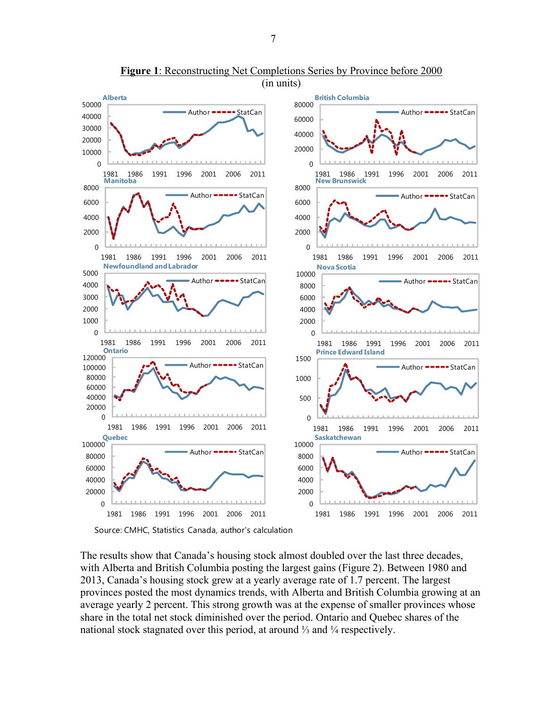

**Figure 1**: Reconstructing Net Completions Series by Province before 2000 (in units)

Source: CMHC, Statistics Canada, author's calculation

The results show that Canada's housing stock almost doubled over the last three decades, with Alberta and British Columbia posting the largest gains (Figure 2). Between 1980 and 2013, Canada's housing stock grew at a yearly average rate of 1.7 percent. The largest provinces posted the most dynamics trends, with Alberta and British Columbia growing at an average yearly 2 percent. This strong growth was at the expense of smaller provinces whose share in the total net stock diminished over the period. Ontario and Quebec shares of the national stock stagnated over this period, at around ¼ and ¼ respectively.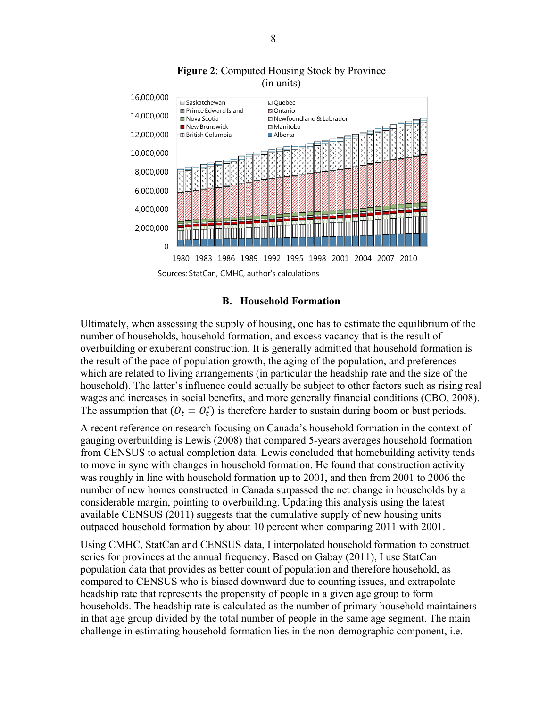

#### **Figure 2**: Computed Housing Stock by Province (in units)

**B. Household Formation** 

Ultimately, when assessing the supply of housing, one has to estimate the equilibrium of the number of households, household formation, and excess vacancy that is the result of overbuilding or exuberant construction. It is generally admitted that household formation is the result of the pace of population growth, the aging of the population, and preferences which are related to living arrangements (in particular the headship rate and the size of the household). The latter's influence could actually be subject to other factors such as rising real wages and increases in social benefits, and more generally financial conditions (CBO, 2008). The assumption that  $(O_t = O_t^*)$  is therefore harder to sustain during boom or bust periods.

A recent reference on research focusing on Canada's household formation in the context of gauging overbuilding is Lewis (2008) that compared 5-years averages household formation from CENSUS to actual completion data. Lewis concluded that homebuilding activity tends to move in sync with changes in household formation. He found that construction activity was roughly in line with household formation up to 2001, and then from 2001 to 2006 the number of new homes constructed in Canada surpassed the net change in households by a considerable margin, pointing to overbuilding. Updating this analysis using the latest available CENSUS (2011) suggests that the cumulative supply of new housing units outpaced household formation by about 10 percent when comparing 2011 with 2001.

Using CMHC, StatCan and CENSUS data, I interpolated household formation to construct series for provinces at the annual frequency. Based on Gabay (2011), I use StatCan population data that provides as better count of population and therefore household, as compared to CENSUS who is biased downward due to counting issues, and extrapolate headship rate that represents the propensity of people in a given age group to form households. The headship rate is calculated as the number of primary household maintainers in that age group divided by the total number of people in the same age segment. The main challenge in estimating household formation lies in the non-demographic component, i.e.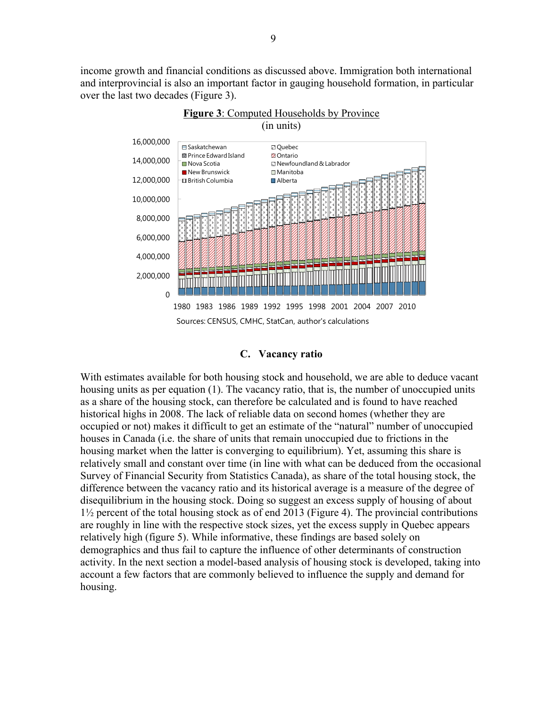income growth and financial conditions as discussed above. Immigration both international and interprovincial is also an important factor in gauging household formation, in particular over the last two decades (Figure 3).



# **C. Vacancy ratio**

With estimates available for both housing stock and household, we are able to deduce vacant housing units as per equation (1). The vacancy ratio, that is, the number of unoccupied units as a share of the housing stock, can therefore be calculated and is found to have reached historical highs in 2008. The lack of reliable data on second homes (whether they are occupied or not) makes it difficult to get an estimate of the "natural" number of unoccupied houses in Canada (i.e. the share of units that remain unoccupied due to frictions in the housing market when the latter is converging to equilibrium). Yet, assuming this share is relatively small and constant over time (in line with what can be deduced from the occasional Survey of Financial Security from Statistics Canada), as share of the total housing stock, the difference between the vacancy ratio and its historical average is a measure of the degree of disequilibrium in the housing stock. Doing so suggest an excess supply of housing of about 1½ percent of the total housing stock as of end 2013 (Figure 4). The provincial contributions are roughly in line with the respective stock sizes, yet the excess supply in Quebec appears relatively high (figure 5). While informative, these findings are based solely on demographics and thus fail to capture the influence of other determinants of construction activity. In the next section a model-based analysis of housing stock is developed, taking into account a few factors that are commonly believed to influence the supply and demand for housing.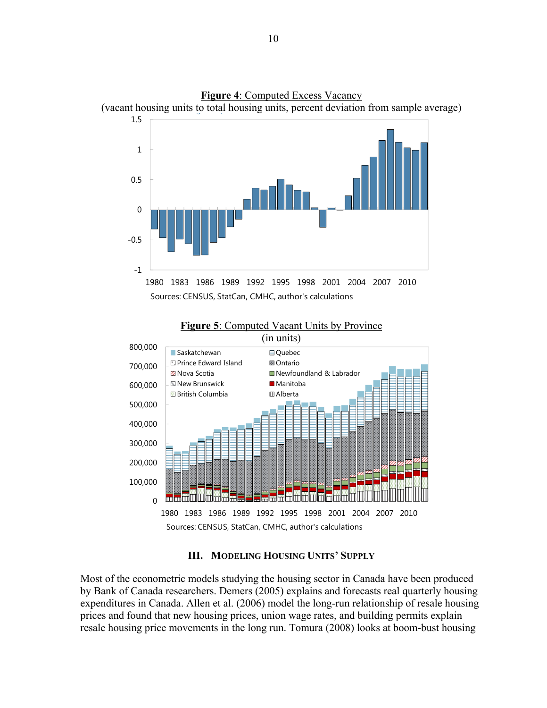



#### **Figure 5**: Computed Vacant Units by Province

#### **III. MODELING HOUSING UNITS' SUPPLY**

Most of the econometric models studying the housing sector in Canada have been produced by Bank of Canada researchers. Demers (2005) explains and forecasts real quarterly housing expenditures in Canada. Allen et al. (2006) model the long-run relationship of resale housing prices and found that new housing prices, union wage rates, and building permits explain resale housing price movements in the long run. Tomura (2008) looks at boom-bust housing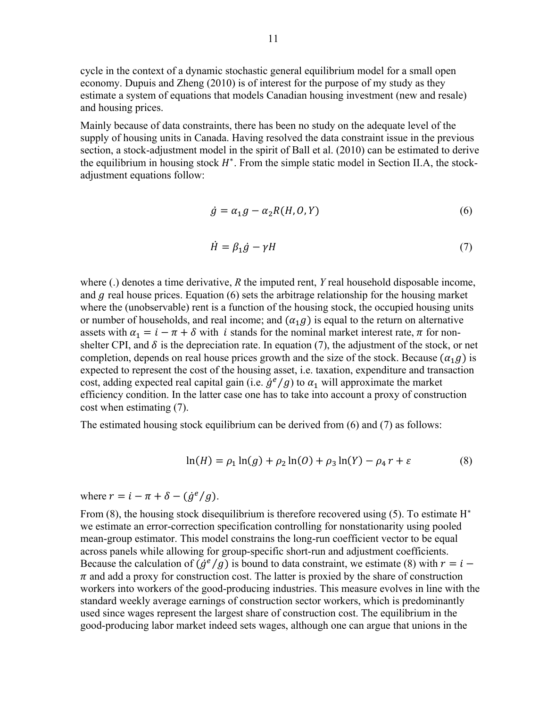cycle in the context of a dynamic stochastic general equilibrium model for a small open economy. Dupuis and Zheng (2010) is of interest for the purpose of my study as they estimate a system of equations that models Canadian housing investment (new and resale) and housing prices.

Mainly because of data constraints, there has been no study on the adequate level of the supply of housing units in Canada. Having resolved the data constraint issue in the previous section, a stock-adjustment model in the spirit of Ball et al. (2010) can be estimated to derive the equilibrium in housing stock  $H^*$ . From the simple static model in Section II.A, the stockadjustment equations follow:

$$
\dot{g} = \alpha_1 g - \alpha_2 R(H, 0, Y) \tag{6}
$$

$$
\dot{H} = \beta_1 \dot{g} - \gamma H \tag{7}
$$

where (.) denotes a time derivative, *R* the imputed rent, *Y* real household disposable income, and  $g$  real house prices. Equation (6) sets the arbitrage relationship for the housing market where the (unobservable) rent is a function of the housing stock, the occupied housing units or number of households, and real income; and  $(\alpha_1, \beta)$  is equal to the return on alternative assets with  $\alpha_1 = i - \pi + \delta$  with *i* stands for the nominal market interest rate,  $\pi$  for nonshelter CPI, and  $\delta$  is the depreciation rate. In equation (7), the adjustment of the stock, or net completion, depends on real house prices growth and the size of the stock. Because  $(\alpha_1 g)$  is expected to represent the cost of the housing asset, i.e. taxation, expenditure and transaction cost, adding expected real capital gain (i.e.  $\dot{g}^e/g$ ) to  $\alpha_1$  will approximate the market efficiency condition. In the latter case one has to take into account a proxy of construction cost when estimating (7).

The estimated housing stock equilibrium can be derived from (6) and (7) as follows:

$$
\ln(H) = \rho_1 \ln(g) + \rho_2 \ln(0) + \rho_3 \ln(Y) - \rho_4 r + \varepsilon \tag{8}
$$

where  $r = i - \pi + \delta - (\dot{g}^e/g)$ .

From (8), the housing stock disequilibrium is therefore recovered using (5). To estimate  $H^*$ we estimate an error-correction specification controlling for nonstationarity using pooled mean-group estimator. This model constrains the long-run coefficient vector to be equal across panels while allowing for group-specific short-run and adjustment coefficients. Because the calculation of  $(g^e/g)$  is bound to data constraint, we estimate (8) with  $r = i \pi$  and add a proxy for construction cost. The latter is proxied by the share of construction workers into workers of the good-producing industries. This measure evolves in line with the standard weekly average earnings of construction sector workers, which is predominantly used since wages represent the largest share of construction cost. The equilibrium in the good-producing labor market indeed sets wages, although one can argue that unions in the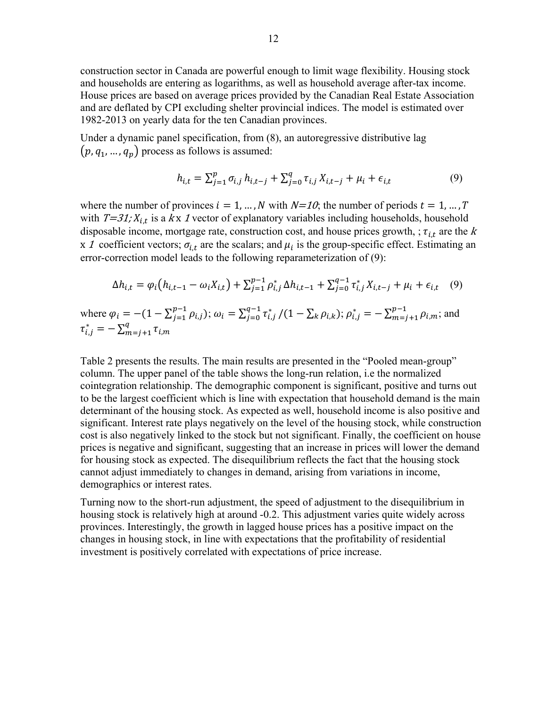construction sector in Canada are powerful enough to limit wage flexibility. Housing stock and households are entering as logarithms, as well as household average after-tax income. House prices are based on average prices provided by the Canadian Real Estate Association and are deflated by CPI excluding shelter provincial indices. The model is estimated over 1982-2013 on yearly data for the ten Canadian provinces.

Under a dynamic panel specification, from (8), an autoregressive distributive lag  $(p, q_1, \ldots, q_p)$  process as follows is assumed:

$$
h_{i,t} = \sum_{j=1}^{p} \sigma_{i,j} h_{i,t-j} + \sum_{j=0}^{q} \tau_{i,j} X_{i,t-j} + \mu_i + \epsilon_{i,t}
$$
(9)

where the number of provinces  $i = 1, ..., N$  with  $N=10$ ; the number of periods  $t = 1, ..., T$ with  $T=31; X_{i,t}$  is a kx 1 vector of explanatory variables including households, household disposable income, mortgage rate, construction cost, and house prices growth, ;  $\tau_{i,t}$  are the k x 1 coefficient vectors;  $\sigma_{i,t}$  are the scalars; and  $\mu_i$  is the group-specific effect. Estimating an error-correction model leads to the following reparameterization of (9):

$$
\Delta h_{i,t} = \varphi_i \big( h_{i,t-1} - \omega_i X_{i,t} \big) + \sum_{j=1}^{p-1} \rho_{i,j}^* \, \Delta h_{i,t-1} + \sum_{j=0}^{q-1} \tau_{i,j}^* \, X_{i,t-j} + \mu_i + \epsilon_{i,t} \tag{9}
$$

where  $\varphi_i = -(1 - \sum_{j=1}^{p-1} \rho_{i,j})$ ;  $\omega_i = \sum_{j=0}^{q-1} \tau_{i,j}^* / (1 - \sum_k \rho_{i,k})$ ;  $\rho_{i,j}^* = -\sum_{m=j+1}^{p-1} \rho_{i,m}$ ; and  $\tau_{i,j}^* = -\sum_{m=j+1}^q \tau_{i,m}$  $m=j+1$ 

Table 2 presents the results. The main results are presented in the "Pooled mean-group" column. The upper panel of the table shows the long-run relation, i.e the normalized cointegration relationship. The demographic component is significant, positive and turns out to be the largest coefficient which is line with expectation that household demand is the main determinant of the housing stock. As expected as well, household income is also positive and significant. Interest rate plays negatively on the level of the housing stock, while construction cost is also negatively linked to the stock but not significant. Finally, the coefficient on house prices is negative and significant, suggesting that an increase in prices will lower the demand for housing stock as expected. The disequilibrium reflects the fact that the housing stock cannot adjust immediately to changes in demand, arising from variations in income, demographics or interest rates.

Turning now to the short-run adjustment, the speed of adjustment to the disequilibrium in housing stock is relatively high at around -0.2. This adjustment varies quite widely across provinces. Interestingly, the growth in lagged house prices has a positive impact on the changes in housing stock, in line with expectations that the profitability of residential investment is positively correlated with expectations of price increase.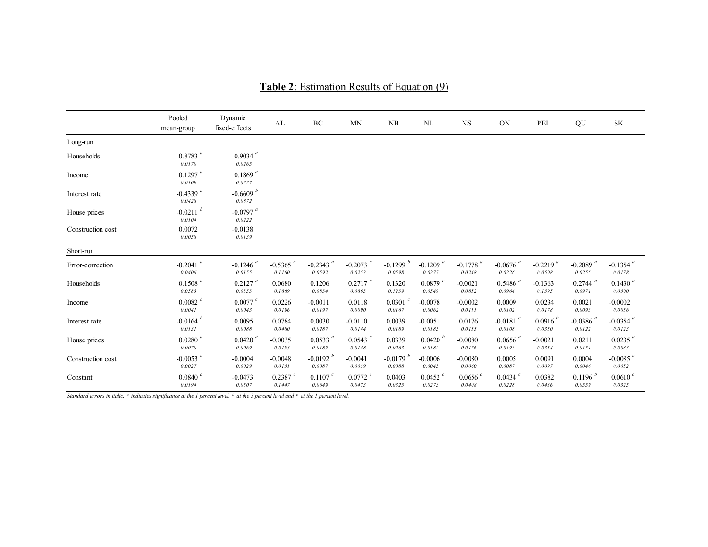|                   | Pooled<br>mean-group             | Dynamic<br>fixed-effects             | AL                               | $\rm BC$                         | <b>MN</b>                        | ${\rm NB}$                       | $\rm NL$                         | $_{\rm NS}$                      | ON                               | PEI                              | QU                               | $\ensuremath{\mathbf{SK}}\xspace$ |
|-------------------|----------------------------------|--------------------------------------|----------------------------------|----------------------------------|----------------------------------|----------------------------------|----------------------------------|----------------------------------|----------------------------------|----------------------------------|----------------------------------|-----------------------------------|
| Long-run          |                                  |                                      |                                  |                                  |                                  |                                  |                                  |                                  |                                  |                                  |                                  |                                   |
| Households        | $0.8783$ $^a\,$<br>0.0170        | $0.9034$ <sup>a</sup><br>0.0265      |                                  |                                  |                                  |                                  |                                  |                                  |                                  |                                  |                                  |                                   |
| Income            | $0.1297$ <sup>a</sup><br>0.0109  | $0.1869$ <sup>a</sup><br>0.0227      |                                  |                                  |                                  |                                  |                                  |                                  |                                  |                                  |                                  |                                   |
| Interest rate     | $-0.4339$ <sup>a</sup><br>0.0428 | $-0.6609$ <sup>b</sup><br>$0.0872\,$ |                                  |                                  |                                  |                                  |                                  |                                  |                                  |                                  |                                  |                                   |
| House prices      | $-0.0211$ <sup>b</sup><br>0.0104 | $-0.0797$ <sup>a</sup><br>0.0222     |                                  |                                  |                                  |                                  |                                  |                                  |                                  |                                  |                                  |                                   |
| Construction cost | 0.0072<br>0.0058                 | $-0.0138$<br>0.0139                  |                                  |                                  |                                  |                                  |                                  |                                  |                                  |                                  |                                  |                                   |
| Short-run         |                                  |                                      |                                  |                                  |                                  |                                  |                                  |                                  |                                  |                                  |                                  |                                   |
| Error-correction  | $-0.2041$ <sup>a</sup><br>0.0406 | $-0.1246$ <sup>a</sup><br>0.0155     | $-0.5365$ <sup>a</sup><br>0.1160 | $-0.2343$ <sup>a</sup><br>0.0592 | $-0.2073$ <sup>a</sup><br>0.0253 | $-0.1299$ <sup>b</sup><br>0.0598 | $-0.1209$ <sup>a</sup><br>0.0277 | $-0.1778$ <sup>a</sup><br>0.0248 | -0.0676 $a$<br>0.0226            | $-0.2219$ <sup>a</sup><br>0.0508 | -0.2089 $^{\it a}$<br>0.0255     | $-0.1354$ <sup>a</sup><br>0.0178  |
| Households        | $0.1508$ <sup>a</sup><br>0.0583  | $0.2127$ <sup>a</sup><br>0.0353      | 0.0680<br>0.1869                 | 0.1206<br>0.0834                 | $0.2717$ <sup>a</sup><br>0.0863  | 0.1320<br>0.1239                 | $0.0879$ <sup>c</sup><br>0.0549  | $-0.0021$<br>0.0852              | $0.5486$ <sup>a</sup><br>0.0964  | $-0.1363$<br>0.1595              | $0.2744$ <sup>a</sup><br>0.0971  | $0.1430$ <sup>a</sup><br>0.0500   |
| Income            | 0.0082 h<br>0.0041               | $0.0077$ $c$<br>0.0043               | 0.0226<br>0.0196                 | $-0.0011$<br>0.0197              | 0.0118<br>0.0090                 | $0.0301$ $c$<br>0.0167           | $-0.0078$<br>0.0062              | $-0.0002$<br>0.0111              | 0.0009<br>0.0102                 | 0.0234<br>0.0178                 | 0.0021<br>0.0093                 | $-0.0002$<br>0.0056               |
| Interest rate     | $-0.0164$ <sup>b</sup><br>0.0131 | 0.0095<br>0.0088                     | 0.0784<br>0.0480                 | 0.0030<br>0.0287                 | $-0.0110$<br>0.0144              | 0.0039<br>0.0189                 | $-0.0051$<br>0.0185              | 0.0176<br>0.0155                 | $-0.0181$ <sup>c</sup><br>0.0108 | 0.0916 h<br>0.0350               | $-0.0386$ <sup>a</sup><br>0.0122 | -0.0354 $^{\it a}$<br>0.0123      |
| House prices      | $0.0280$ $^a\,$<br>0.0070        | $0.0420$ <sup>a</sup><br>0.0069      | $-0.0035$<br>0.0193              | $0.0533$ <sup>a</sup><br>0.0189  | $0.0543$ <sup>a</sup><br>0.0148  | 0.0339<br>0.0263                 | 0.0420 <sup>b</sup><br>0.0182    | $-0.0080$<br>0.0176              | $0.0656$ <sup>a</sup><br>0.0193  | $-0.0021$<br>0.0354              | 0.0211<br>0.0151                 | $0.0235$ <sup>a</sup><br>0.0083   |
| Construction cost | $-0.0053$ $^{c}$<br>0.0027       | $-0.0004$<br>0.0029                  | $-0.0048$<br>0.0151              | $-0.0192 h$<br>0.0087            | $-0.0041$<br>0.0039              | $-0.0179 h$<br>0.0088            | $-0.0006$<br>0.0043              | $-0.0080$<br>0.0060              | 0.0005<br>0.0087                 | 0.0091<br>0.0097                 | 0.0004<br>0.0046                 | -0.0085 $^{\circ}$<br>0.0052      |
| Constant          | $0.0840$ $^a\,$<br>0.0194        | $-0.0473$<br>0.0507                  | $0.2387$ $c$<br>0.1447           | $0.1107$ $c$<br>0.0649           | $0.0772$ <sup>c</sup><br>0.0473  | 0.0403<br>0.0325                 | $0.0452$ $^{c}$<br>0.0273        | $0.0656$ $c$<br>0.0408           | $0.0434$ $^{c}$<br>0.0228        | 0.0382<br>0.0436                 | 0.1196 h<br>0.0559               | 0.0610 c<br>0.0325                |

**Table 2**: Estimation Results of Equation (9)

*Standard errors in italic. a indicates significance at the 1 percent level, b at the 5 percent level and c at the 1 percent level.*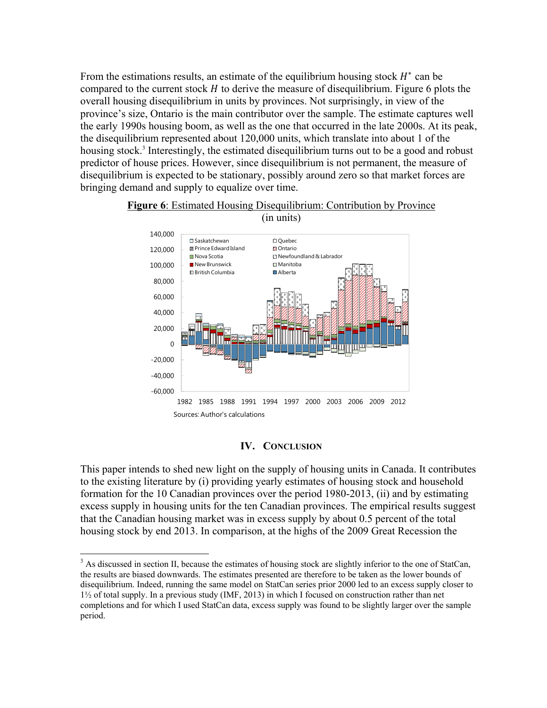From the estimations results, an estimate of the equilibrium housing stock  $H^*$  can be compared to the current stock  $H$  to derive the measure of disequilibrium. Figure 6 plots the overall housing disequilibrium in units by provinces. Not surprisingly, in view of the province's size, Ontario is the main contributor over the sample. The estimate captures well the early 1990s housing boom, as well as the one that occurred in the late 2000s. At its peak, the disequilibrium represented about 120,000 units, which translate into about 1 of the housing stock.<sup>3</sup> Interestingly, the estimated disequilibrium turns out to be a good and robust predictor of house prices. However, since disequilibrium is not permanent, the measure of disequilibrium is expected to be stationary, possibly around zero so that market forces are bringing demand and supply to equalize over time.



# **Figure 6**: Estimated Housing Disequilibrium: Contribution by Province

#### **IV. CONCLUSION**

This paper intends to shed new light on the supply of housing units in Canada. It contributes to the existing literature by (i) providing yearly estimates of housing stock and household formation for the 10 Canadian provinces over the period 1980-2013, (ii) and by estimating excess supply in housing units for the ten Canadian provinces. The empirical results suggest that the Canadian housing market was in excess supply by about 0.5 percent of the total housing stock by end 2013. In comparison, at the highs of the 2009 Great Recession the

<u>.</u>

 $3$  As discussed in section II, because the estimates of housing stock are slightly inferior to the one of StatCan, the results are biased downwards. The estimates presented are therefore to be taken as the lower bounds of disequilibrium. Indeed, running the same model on StatCan series prior 2000 led to an excess supply closer to  $1\frac{1}{2}$  of total supply. In a previous study (IMF, 2013) in which I focused on construction rather than net completions and for which I used StatCan data, excess supply was found to be slightly larger over the sample period.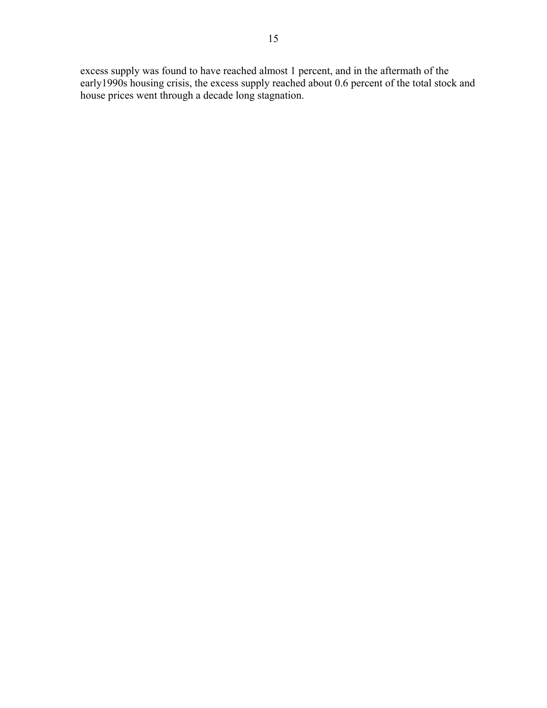excess supply was found to have reached almost 1 percent, and in the aftermath of the early1990s housing crisis, the excess supply reached about 0.6 percent of the total stock and house prices went through a decade long stagnation.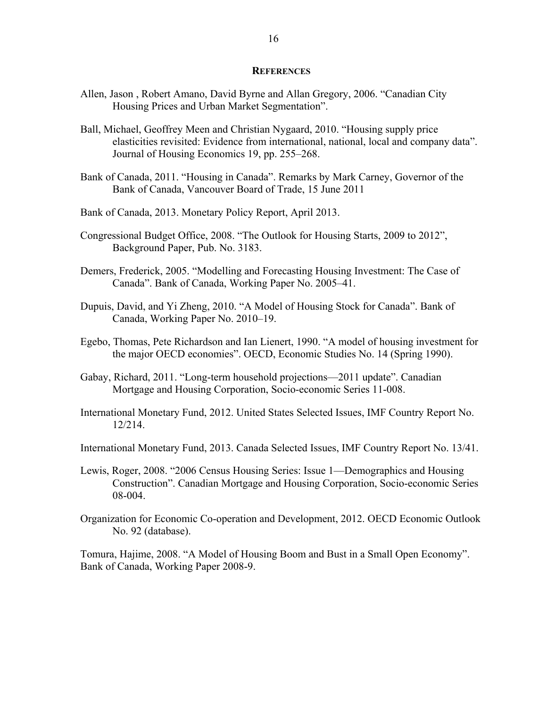#### **REFERENCES**

- Allen, Jason , Robert Amano, David Byrne and Allan Gregory, 2006. "Canadian City Housing Prices and Urban Market Segmentation".
- Ball, Michael, Geoffrey Meen and Christian Nygaard, 2010. "Housing supply price elasticities revisited: Evidence from international, national, local and company data". Journal of Housing Economics 19, pp. 255–268.
- Bank of Canada, 2011. "Housing in Canada". Remarks by Mark Carney, Governor of the Bank of Canada, Vancouver Board of Trade, 15 June 2011
- Bank of Canada, 2013. Monetary Policy Report, April 2013.
- Congressional Budget Office, 2008. "The Outlook for Housing Starts, 2009 to 2012", Background Paper, Pub. No. 3183.
- Demers, Frederick, 2005. "Modelling and Forecasting Housing Investment: The Case of Canada". Bank of Canada, Working Paper No. 2005–41.
- Dupuis, David, and Yi Zheng, 2010. "A Model of Housing Stock for Canada". Bank of Canada, Working Paper No. 2010–19.
- Egebo, Thomas, Pete Richardson and Ian Lienert, 1990. "A model of housing investment for the major OECD economies". OECD, Economic Studies No. 14 (Spring 1990).
- Gabay, Richard, 2011. "Long-term household projections—2011 update". Canadian Mortgage and Housing Corporation, Socio-economic Series 11-008.
- International Monetary Fund, 2012. United States Selected Issues, IMF Country Report No. 12/214.
- International Monetary Fund, 2013. Canada Selected Issues, IMF Country Report No. 13/41.
- Lewis, Roger, 2008. "2006 Census Housing Series: Issue 1—Demographics and Housing Construction". Canadian Mortgage and Housing Corporation, Socio-economic Series 08-004.
- Organization for Economic Co-operation and Development, 2012. OECD Economic Outlook No. 92 (database).

Tomura, Hajime, 2008. "A Model of Housing Boom and Bust in a Small Open Economy". Bank of Canada, Working Paper 2008-9.